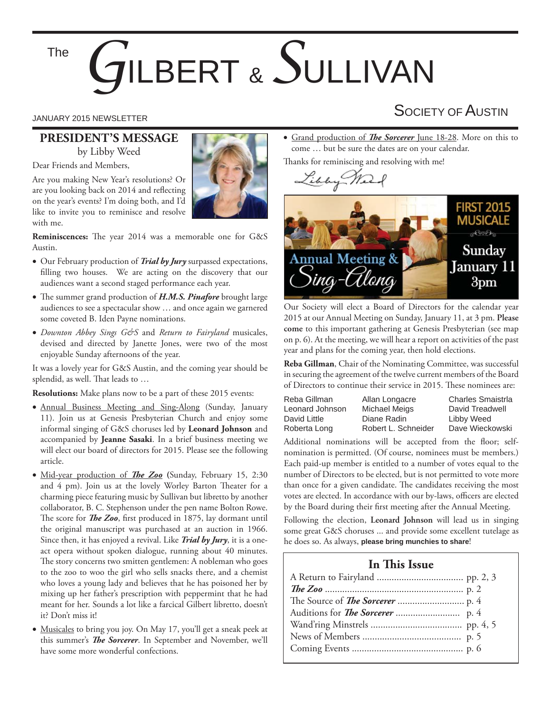#### The

# *G*ILBERT & *S*ULLIVAN

#### **PRESIDENT'S MESSAGE** by Libby Weed

Dear Friends and Members,

Are you making New Year's resolutions? Or are you looking back on 2014 and reflecting on the year's events? I'm doing both, and I'd like to invite you to reminisce and resolve with me.



**Reminiscences:** The year 2014 was a memorable one for G&S Austin.

- Our February production of *Trial by Jury* surpassed expectations, filling two houses. We are acting on the discovery that our audiences want a second staged performance each year.
- The summer grand production of *H.M.S. Pinafore* brought large audiences to see a spectacular show … and once again we garnered some coveted B. Iden Payne nominations.
- *Downton Abbey Sings G&S* and *Return to Fairyland* musicales, devised and directed by Janette Jones, were two of the most enjoyable Sunday afternoons of the year.

It was a lovely year for G&S Austin, and the coming year should be splendid, as well. That leads to ...

**Resolutions:** Make plans now to be a part of these 2015 events:

- Annual Business Meeting and Sing-Along (Sunday, January 11). Join us at Genesis Presbyterian Church and enjoy some informal singing of G&S choruses led by **Leonard Johnson** and accompanied by **Jeanne Sasaki**. In a brief business meeting we will elect our board of directors for 2015. Please see the following article.
- Mid-year production of **The Zoo** (Sunday, February 15, 2:30 and 4 pm). Join us at the lovely Worley Barton Theater for a charming piece featuring music by Sullivan but libretto by another collaborator, B. C. Stephenson under the pen name Bolton Rowe. The score for *The Zoo*, first produced in 1875, lay dormant until the original manuscript was purchased at an auction in 1966. Since then, it has enjoyed a revival. Like *Trial by Jury*, it is a oneact opera without spoken dialogue, running about 40 minutes. The story concerns two smitten gentlemen: A nobleman who goes to the zoo to woo the girl who sells snacks there, and a chemist who loves a young lady and believes that he has poisoned her by mixing up her father's prescription with peppermint that he had meant for her. Sounds a lot like a farcical Gilbert libretto, doesn't it? Don't miss it!
- Musicales to bring you joy. On May 17, you'll get a sneak peek at this summer's *The Sorcerer*. In September and November, we'll have some more wonderful confections.

• Grand production of *The Sorcerer* June 18-28. More on this to come … but be sure the dates are on your calendar.

Thanks for reminiscing and resolving with me!





Our Society will elect a Board of Directors for the calendar year 2015 at our Annual Meeting on Sunday, January 11, at 3 pm. **Please come** to this important gathering at Genesis Presbyterian (see map on p. 6). At the meeting, we will hear a report on activities of the past year and plans for the coming year, then hold elections.

**Reba Gillman**, Chair of the Nominating Committee, was successful in securing the agreement of the twelve current members of the Board of Directors to continue their service in 2015. These nominees are:

| Reba Gillman    | Allan Longacre      | <b>Charles Smaistrla</b> |
|-----------------|---------------------|--------------------------|
| Leonard Johnson | Michael Meigs       | David Treadwell          |
| David Little    | Diane Radin         | Libby Weed               |
| Roberta Long    | Robert L. Schneider | Dave Wieckowski          |

Additional nominations will be accepted from the floor; selfnomination is permitted. (Of course, nominees must be members.) Each paid-up member is entitled to a number of votes equal to the number of Directors to be elected, but is not permitted to vote more than once for a given candidate. The candidates receiving the most votes are elected. In accordance with our by-laws, officers are elected by the Board during their first meeting after the Annual Meeting.

Following the election, **Leonard Johnson** will lead us in singing some great G&S choruses ... and provide some excellent tutelage as he does so. As always, **please bring munchies to share**!

#### **In This Issue**

### JANUARY 2015 NEWSLETTER SOCIETY OF  $\mathsf A$ USTIN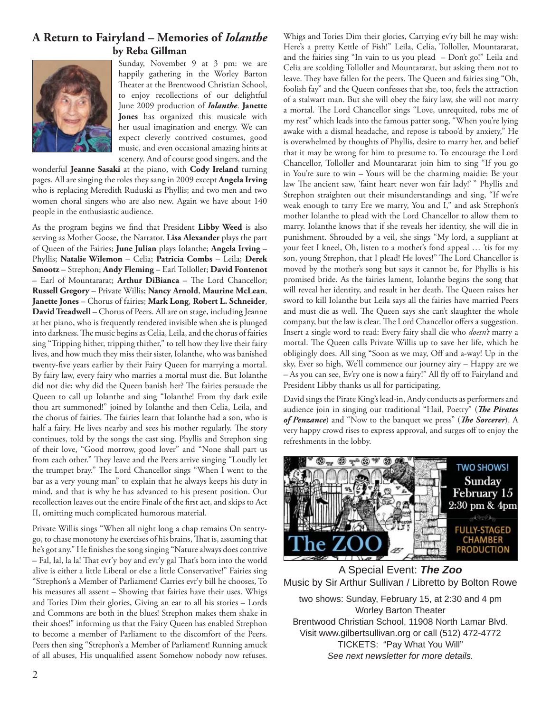#### **A Return to Fairyland – Memories of** *Iolanthe* **by Reba Gillman**



Sunday, November 9 at 3 pm: we are happily gathering in the Worley Barton Theater at the Brentwood Christian School, to enjoy recollections of our delightful June 2009 production of *Iolanthe*. **Janette Jones** has organized this musicale with her usual imagination and energy. We can expect cleverly contrived costumes, good music, and even occasional amazing hints at scenery. And of course good singers, and the

wonderful **Jeanne Sasaki** at the piano, with **Cody Ireland** turning pages. All are singing the roles they sang in 2009 except **Angela Irving** who is replacing Meredith Ruduski as Phyllis; and two men and two women choral singers who are also new. Again we have about 140 people in the enthusiastic audience.

As the program begins we find that President Libby Weed is also serving as Mother Goose, the Narrator. **Lisa Alexander** plays the part of Queen of the Fairies; **June Julian** plays Iolanthe; **Angela Irving** – Phyllis; **Natalie Wilemon** – Celia; **Patricia Combs** – Leila; **Derek Smootz** – Strephon; **Andy Fleming** – Earl Tolloller; **David Fontenot** - Earl of Mountararat; **Arthur DiBianca** - The Lord Chancellor; **Russell Gregory** – Private Willis; **Nancy Arnold**, **Maurine McLean**, **Janette Jones** – Chorus of fairies; **Mark Long**, **Robert L. Schneider**, **David Treadwell** – Chorus of Peers. All are on stage, including Jeanne at her piano, who is frequently rendered invisible when she is plunged into darkness. The music begins as Celia, Leila, and the chorus of fairies sing "Tripping hither, tripping thither," to tell how they live their fairy lives, and how much they miss their sister, Iolanthe, who was banished twenty-five years earlier by their Fairy Queen for marrying a mortal. By fairy law, every fairy who marries a mortal must die. But Iolanthe did not die; why did the Queen banish her? The fairies persuade the Queen to call up Iolanthe and sing "Iolanthe! From thy dark exile thou art summoned!" joined by Iolanthe and then Celia, Leila, and the chorus of fairies. The fairies learn that Iolanthe had a son, who is half a fairy. He lives nearby and sees his mother regularly. The story continues, told by the songs the cast sing. Phyllis and Strephon sing of their love, "Good morrow, good lover" and "None shall part us from each other." They leave and the Peers arrive singing "Loudly let the trumpet bray." The Lord Chancellor sings "When I went to the bar as a very young man" to explain that he always keeps his duty in mind, and that is why he has advanced to his present position. Our recollection leaves out the entire Finale of the first act, and skips to Act II, omitting much complicated humorous material.

Private Willis sings "When all night long a chap remains On sentrygo, to chase monotony he exercises of his brains, That is, assuming that he's got any." He finishes the song singing "Nature always does contrive – Fal, lal, la la! That evr'y boy and evr'y gal That's born into the world alive is either a little Liberal or else a little Conservative!" Fairies sing "Strephon's a Member of Parliament! Carries evr'y bill he chooses, To his measures all assent – Showing that fairies have their uses. Whigs and Tories Dim their glories, Giving an ear to all his stories – Lords and Commons are both in the blues! Strephon makes them shake in their shoes!" informing us that the Fairy Queen has enabled Strephon to become a member of Parliament to the discomfort of the Peers. Peers then sing "Strephon's a Member of Parliament! Running amuck of all abuses, His unqualified assent Somehow nobody now refuses.

Whigs and Tories Dim their glories, Carrying ev'ry bill he may wish: Here's a pretty Kettle of Fish!" Leila, Celia, Tolloller, Mountararat, and the fairies sing "In vain to us you plead – Don't go!" Leila and Celia are scolding Tolloller and Mountararat, but asking them not to leave. They have fallen for the peers. The Queen and fairies sing "Oh, foolish fay" and the Queen confesses that she, too, feels the attraction of a stalwart man. But she will obey the fairy law, she will not marry a mortal. The Lord Chancellor sings "Love, unrequited, robs me of my rest" which leads into the famous patter song, "When you're lying awake with a dismal headache, and repose is taboo'd by anxiety," He is overwhelmed by thoughts of Phyllis, desire to marry her, and belief that it may be wrong for him to presume to. To encourage the Lord Chancellor, Tolloller and Mountararat join him to sing "If you go in You're sure to win – Yours will be the charming maidie: Be your law The ancient saw, 'faint heart never won fair lady!' " Phyllis and Strephon straighten out their misunderstandings and sing, "If we're weak enough to tarry Ere we marry, You and I," and ask Strephon's mother Iolanthe to plead with the Lord Chancellor to allow them to marry. Iolanthe knows that if she reveals her identity, she will die in punishment. Shrouded by a veil, she sings "My lord, a suppliant at your feet I kneel, Oh, listen to a mother's fond appeal … 'tis for my son, young Strephon, that I plead! He loves!" The Lord Chancellor is moved by the mother's song but says it cannot be, for Phyllis is his promised bride. As the fairies lament, Iolanthe begins the song that will reveal her identity, and result in her death. The Queen raises her sword to kill Iolanthe but Leila says all the fairies have married Peers and must die as well. The Queen says she can't slaughter the whole company, but the law is clear. The Lord Chancellor offers a suggestion. Insert a single word to read: Every fairy shall die who *doesn't* marry a mortal. The Queen calls Private Willis up to save her life, which he obligingly does. All sing "Soon as we may, Off and a-way! Up in the sky, Ever so high, We'll commence our journey airy – Happy are we – As you can see, Ev'ry one is now a fairy!" All fly off to Fairyland and President Libby thanks us all for participating.

David sings the Pirate King's lead-in, Andy conducts as performers and audience join in singing our traditional "Hail, Poetry" (The Pirates of Penzance) and "Now to the banquet we press" (The Sorcerer). A very happy crowd rises to express approval, and surges off to enjoy the refreshments in the lobby.



A Special Event: *The Zoo* Music by Sir Arthur Sullivan / Libretto by Bolton Rowe two shows: Sunday, February 15, at 2:30 and 4 pm Worley Barton Theater Brentwood Christian School, 11908 North Lamar Blvd. Visit www.gilbertsullivan.org or call (512) 472-4772 TICKETS: "Pay What You Will" *See next newsletter for more details.*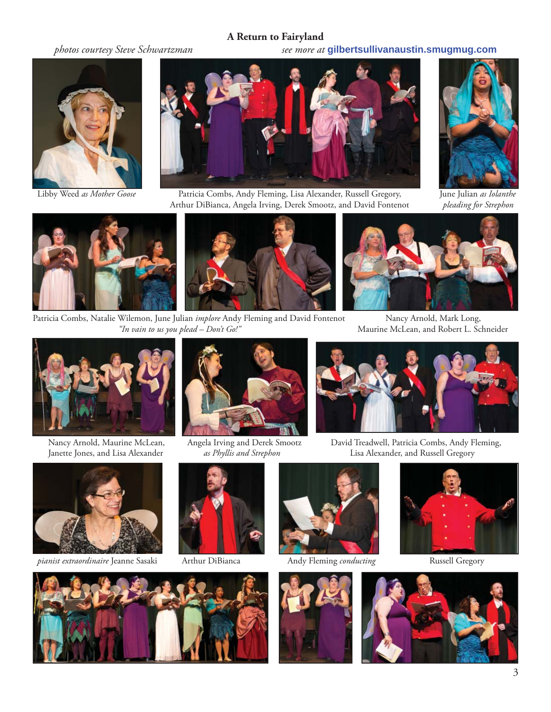#### **A Return to Fairyland**

*photos courtesy Steve Schwartzman see more at* **gilbertsullivanaustin.smugmug.com**





 Libby Weed *as Mother Goose* Patricia Combs, Andy Fleming, Lisa Alexander, Russell Gregory, June Julian *as Iolanthe* Arthur DiBianca, Angela Irving, Derek Smootz, and David Fontenot *pleading for Strephon*





Patricia Combs, Natalie Wilemon, June Julian *implore* Andy Fleming and David Fontenot Nancy Arnold, Mark Long, *"In vain to us you plead – Don't Go!"* Maurine McLean, and Robert L. Schneider









 Nancy Arnold, Maurine McLean, Angela Irving and Derek Smootz David Treadwell, Patricia Combs, Andy Fleming, Janette Jones, and Lisa Alexander *as Phyllis and Strephon* Lisa Alexander, and Russell Gregory



*pianist extraordinaire* Jeanne Sasaki Arthur DiBianca Andy Fleming *conducting* Russell Gregory











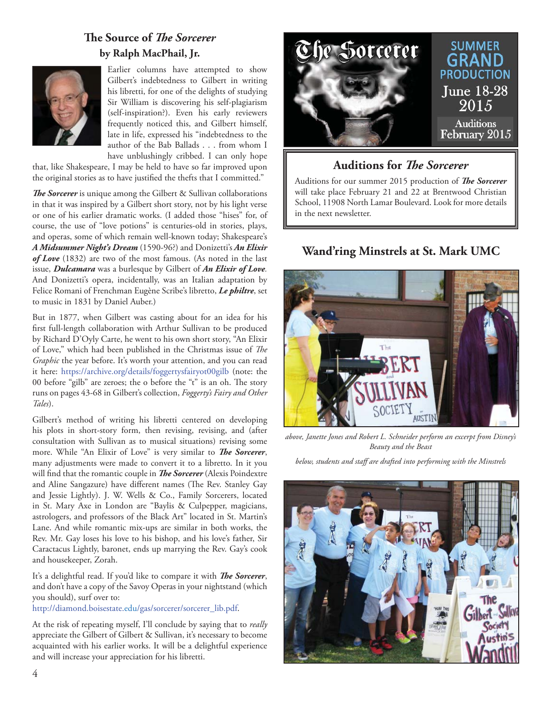#### **The Source of The Sorcerer by Ralph MacPhail, Jr.**



Earlier columns have attempted to show Gilbert's indebtedness to Gilbert in writing his libretti, for one of the delights of studying Sir William is discovering his self-plagiarism (self-inspiration?). Even his early reviewers frequently noticed this, and Gilbert himself, late in life, expressed his "indebtedness to the author of the Bab Ballads . . . from whom I have unblushingly cribbed. I can only hope

that, like Shakespeare, I may be held to have so far improved upon the original stories as to have justified the thefts that I committed."

**The Sorcerer** is unique among the Gilbert & Sullivan collaborations in that it was inspired by a Gilbert short story, not by his light verse or one of his earlier dramatic works. (I added those "hises" for, of course, the use of "love potions" is centuries-old in stories, plays, and operas, some of which remain well-known today; Shakespeare's *A Midsummer Night's Dream* (1590-96?) and Donizetti's *An Elixir of Love* (1832) are two of the most famous. (As noted in the last issue, *Dulcamara* was a burlesque by Gilbert of *An Elixir of Love.*  And Donizetti's opera, incidentally, was an Italian adaptation by Felice Romani of Frenchman Eugène Scribe's libretto, *Le philtre*, set to music in 1831 by Daniel Auber.)

But in 1877, when Gilbert was casting about for an idea for his first full-length collaboration with Arthur Sullivan to be produced by Richard D'Oyly Carte, he went to his own short story, "An Elixir of Love," which had been published in the Christmas issue of *The Graphic* the year before. It's worth your attention, and you can read it here: https://archive.org/details/foggertysfairyot00gilb (note: the 00 before "gilb" are zeroes; the o before the "t" is an oh. The story runs on pages 43-68 in Gilbert's collection, *Foggerty's Fairy and Other Tales*).

Gilbert's method of writing his libretti centered on developing his plots in short-story form, then revising, revising, and (after consultation with Sullivan as to musical situations) revising some more. While "An Elixir of Love" is very similar to *The Sorcerer*, many adjustments were made to convert it to a libretto. In it you will find that the romantic couple in *The Sorcerer* (Alexis Poindextre and Aline Sangazure) have different names (The Rev. Stanley Gay and Jessie Lightly). J. W. Wells & Co., Family Sorcerers, located in St. Mary Axe in London are "Baylis & Culpepper, magicians, astrologers, and professors of the Black Art" located in St. Martin's Lane. And while romantic mix-ups are similar in both works, the Rev. Mr. Gay loses his love to his bishop, and his love's father, Sir Caractacus Lightly, baronet, ends up marrying the Rev. Gay's cook and housekeeper, Zorah.

It's a delightful read. If you'd like to compare it with *The Sorcerer*, and don't have a copy of the Savoy Operas in your nightstand (which you should), surf over to:

http://diamond.boisestate.edu/gas/sorcerer/sorcerer\_lib.pdf.

At the risk of repeating myself, I'll conclude by saying that to *really* appreciate the Gilbert of Gilbert & Sullivan, it's necessary to become acquainted with his earlier works. It will be a delightful experience and will increase your appreciation for his libretti.



**Auditions for** *The Sorcerer* 

Auditions for our summer 2015 production of *The Sorcerer* will take place February 21 and 22 at Brentwood Christian School, 11908 North Lamar Boulevard. Look for more details in the next newsletter.

#### **Wand'ring Minstrels at St. Mark UMC**



*above, Janette Jones and Robert L. Schneider perform an excerpt from Disney's Beauty and the Beast*

*below, students and staff are drafted into performing with the Minstrels*

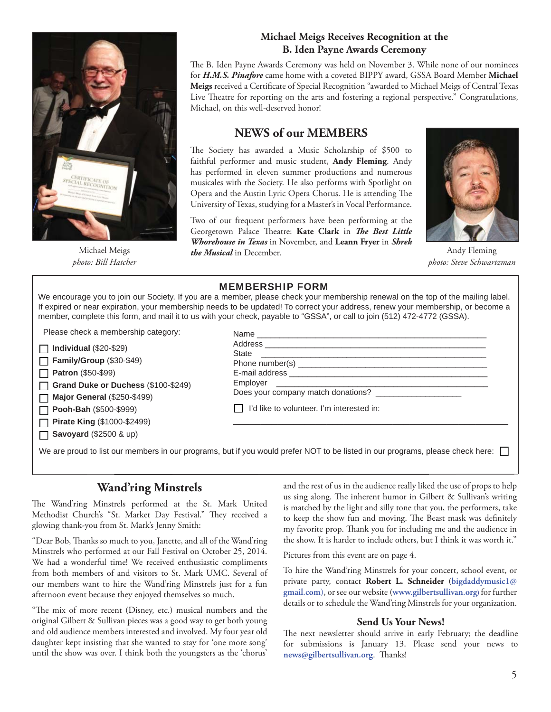

Michael Meigs *photo: Bill Hatcher*

#### **Michael Meigs Receives Recognition at the B. Iden Payne Awards Ceremony**

The B. Iden Payne Awards Ceremony was held on November 3. While none of our nominees for *H.M.S. Pinafore* came home with a coveted BIPPY award, GSSA Board Member **Michael**  Meigs received a Certificate of Special Recognition "awarded to Michael Meigs of Central Texas Live Theatre for reporting on the arts and fostering a regional perspective." Congratulations, Michael, on this well-deserved honor!

#### **NEWS of our MEMBERS**

The Society has awarded a Music Scholarship of \$500 to faithful performer and music student, **Andy Fleming**. Andy has performed in eleven summer productions and numerous musicales with the Society. He also performs with Spotlight on Opera and the Austin Lyric Opera Chorus. He is attending The University of Texas, studying for a Master's in Vocal Performance.

Two of our frequent performers have been performing at the Georgetown Palace Theatre: Kate Clark in *The Best Little Whorehouse in Texas* in November, and **Leann Fryer** in *Shrek the Musical* in December.



Andy Fleming *photo: Steve Schwartzman*

#### MEMBERSHIP FORM

We encourage you to join our Society. If you are a member, please check your membership renewal on the top of the mailing label. If expired or near expiration, your membership needs to be updated! To correct your address, renew your membership, or become a member, complete this form, and mail it to us with your check, payable to "GSSA", or call to join (512) 472-4772 (GSSA).

Please check a membership category:

| $\Box$ Individual (\$20-\$29)       |
|-------------------------------------|
| Family/Group (\$30-\$49)            |
| $\Box$ Patron (\$50-\$99)           |
| Grand Duke or Duchess (\$100-\$249) |
| $\Box$ Major General (\$250-\$499)  |
| $\Box$ Pooh-Bah (\$500-\$999)       |
| Pirate King (\$1000-\$2499)         |
| $\Box$ Savoyard (\$2500 & up)       |
|                                     |

| <b>State</b>                                |  |
|---------------------------------------------|--|
|                                             |  |
|                                             |  |
|                                             |  |
|                                             |  |
| □ I'd like to volunteer. I'm interested in: |  |

We are proud to list our members in our programs, but if you would prefer NOT to be listed in our programs, please check here:  $\Box$ 

#### **Wand'ring Minstrels**

The Wand'ring Minstrels performed at the St. Mark United Methodist Church's "St. Market Day Festival." They received a glowing thank-you from St. Mark's Jenny Smith:

"Dear Bob, Thanks so much to you, Janette, and all of the Wand'ring Minstrels who performed at our Fall Festival on October 25, 2014. We had a wonderful time! We received enthusiastic compliments from both members of and visitors to St. Mark UMC. Several of our members want to hire the Wand'ring Minstrels just for a fun afternoon event because they enjoyed themselves so much.

"The mix of more recent (Disney, etc.) musical numbers and the original Gilbert & Sullivan pieces was a good way to get both young and old audience members interested and involved. My four year old daughter kept insisting that she wanted to stay for 'one more song' until the show was over. I think both the youngsters as the 'chorus' and the rest of us in the audience really liked the use of props to help us sing along. The inherent humor in Gilbert & Sullivan's writing is matched by the light and silly tone that you, the performers, take to keep the show fun and moving. The Beast mask was definitely my favorite prop. Thank you for including me and the audience in the show. It is harder to include others, but I think it was worth it."

Pictures from this event are on page 4.

To hire the Wand'ring Minstrels for your concert, school event, or private party, contact **Robert L. Schneider** (**bigdaddymusic1@ gmail.com**), or see our website (**www.gilbertsullivan.org**) for further details or to schedule the Wand'ring Minstrels for your organization.

#### **Send Us Your News!**

The next newsletter should arrive in early February; the deadline for submissions is January 13. Please send your news to news@gilbertsullivan.org. Thanks!